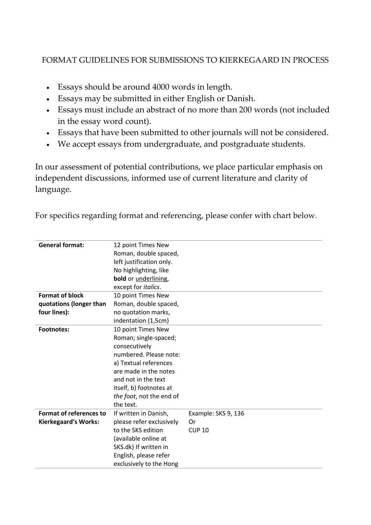## FORMAT GUIDELINES FOR SUBMISSIONS TO KIERKEGAARD IN PROCESS

- Essays should be around 4000 words in length.
- Essays may be submitted in either English or Danish.
- Essays must include an abstract of no more than 200 words (not included in the essay word count).
- Essays that have been submitted to other journals will not be considered.
- We accept essays from undergraduate, and postgraduate students.

In our assessment of potential contributions, we place particular emphasis on independent discussions, informed use of current literature and clarity of language.

| <b>General format:</b>         | 12 point Times New           |                     |
|--------------------------------|------------------------------|---------------------|
|                                | Roman, double spaced,        |                     |
|                                | left justification only.     |                     |
|                                | No highlighting, like        |                     |
|                                | bold or <i>underlining</i> , |                     |
|                                | except for <i>italics</i> .  |                     |
| <b>Format of block</b>         | 10 point Times New           |                     |
| quotations (longer than        | Roman, double spaced,        |                     |
| four lines):                   | no quotation marks,          |                     |
|                                | indentation (1,5cm)          |                     |
| <b>Footnotes:</b>              | 10 point Times New           |                     |
|                                | Roman; single-spaced;        |                     |
|                                | consecutively                |                     |
|                                | numbered. Please note:       |                     |
|                                | a) Textual references        |                     |
|                                | are made in the notes        |                     |
|                                | and not in the text          |                     |
|                                | itself, b) footnotes at      |                     |
|                                | the foot, not the end of     |                     |
|                                | the text.                    |                     |
| <b>Format of references to</b> | If written in Danish,        | Example: SKS 9, 136 |
| <b>Kierkegaard's Works:</b>    | please refer exclusively     | Or                  |
|                                | to the SKS edition           | <b>CUP 10</b>       |
|                                | (available online at         |                     |
|                                | SKS.dk) If written in        |                     |
|                                | English, please refer        |                     |
|                                | exclusively to the Hong      |                     |

For specifics regarding format and referencing, please confer with chart below.